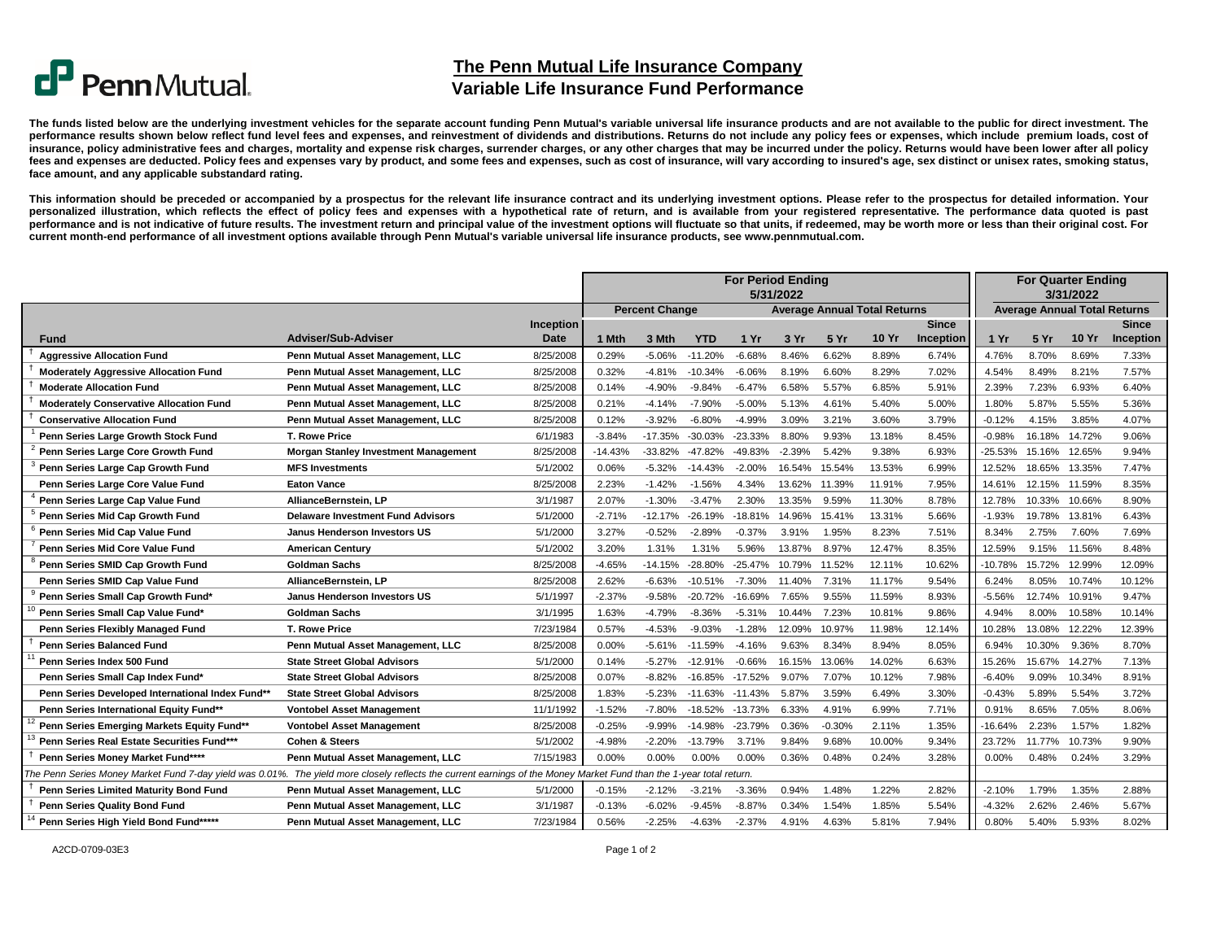## $\mathbf{C}^{\mathbf{P}}$  Penn Mutual.

**The Penn Mutual Life Insurance Company**

## **Variable Life Insurance Fund Performance**

The funds listed below are the underlying investment vehicles for the separate account funding Penn Mutual's variable universal life insurance products and are not available to the public for direct investment. The performance results shown below reflect fund level fees and expenses, and reinvestment of dividends and distributions. Returns do not include any policy fees or expenses, which include premium loads, cost of insurance, policy administrative fees and charges, mortality and expense risk charges, surrender charges, or any other charges that may be incurred under the policy. Returns would have been lower after all policy fees and expenses are deducted. Policy fees and expenses vary by product, and some fees and expenses, such as cost of insurance, will vary according to insured's age, sex distinct or unisex rates, smoking status, **face amount, and any applicable substandard rating.**

This information should be preceded or accompanied by a prospectus for the relevant life insurance contract and its underlying investment options. Please refer to the prospectus for detailed information. Your personalized illustration, which reflects the effect of policy fees and expenses with a hypothetical rate of return, and is available from your registered representative. The performance data quoted is past performance and is not indicative of future results. The investment return and principal value of the investment options will fluctuate so that units, if redeemed, may be worth more or less than their original cost. For current month-end performance of all investment options available through Penn Mutual's variable universal life insurance products, see www.pennmutual.com.

|                                                                                                                                                                      |                                             |           | <b>For Period Ending</b><br>5/31/2022 |                       |            |                                     |          |          |              |           |                                     | <b>For Quarter Ending</b><br>3/31/2022 |              |           |  |
|----------------------------------------------------------------------------------------------------------------------------------------------------------------------|---------------------------------------------|-----------|---------------------------------------|-----------------------|------------|-------------------------------------|----------|----------|--------------|-----------|-------------------------------------|----------------------------------------|--------------|-----------|--|
|                                                                                                                                                                      |                                             |           |                                       | <b>Percent Change</b> |            | <b>Average Annual Total Returns</b> |          |          |              |           | <b>Average Annual Total Returns</b> |                                        |              |           |  |
|                                                                                                                                                                      |                                             | Inception |                                       |                       |            |                                     |          |          |              | Since     |                                     |                                        |              | Since     |  |
| Fund                                                                                                                                                                 | Adviser/Sub-Adviser                         | Date      | 1 Mth                                 | 3 Mth                 | <b>YTD</b> | 1Yr                                 | 3 Yr     | 5 Yr     | <b>10 Yr</b> | Inception | 1 Yr                                | <b>5 Yr</b>                            | <b>10 Yr</b> | Inception |  |
| <b>Aggressive Allocation Fund</b>                                                                                                                                    | Penn Mutual Asset Management, LLC           | 8/25/2008 | 0.29%                                 | $-5.06%$              | $-11.20%$  | $-6.68%$                            | 8.46%    | 6.62%    | 8.89%        | 6.74%     | 4.76%                               | 8.70%                                  | 8.69%        | 7.33%     |  |
| <b>Moderately Aggressive Allocation Fund</b>                                                                                                                         | Penn Mutual Asset Management, LLC           | 8/25/2008 | 0.32%                                 | $-4.81%$              | $-10.34%$  | $-6.06%$                            | 8.19%    | 6.60%    | 8.29%        | 7.02%     | 4.54%                               | 8.49%                                  | 8.21%        | 7.57%     |  |
| <b>Moderate Allocation Fund</b>                                                                                                                                      | Penn Mutual Asset Management, LLC           | 8/25/2008 | 0.14%                                 | -4.90%                | $-9.84%$   | $-6.47%$                            | 6.58%    | 5.57%    | 6.85%        | 5.91%     | 2.39%                               | 7.23%                                  | 6.93%        | 6.40%     |  |
| <b>Moderately Conservative Allocation Fund</b>                                                                                                                       | Penn Mutual Asset Management, LLC           | 8/25/2008 | 0.21%                                 | $-4.14%$              | $-7.90%$   | $-5.00%$                            | 5.13%    | 4.61%    | 5.40%        | 5.00%     | 1.80%                               | 5.87%                                  | 5.55%        | 5.36%     |  |
| <b>Conservative Allocation Fund</b>                                                                                                                                  | Penn Mutual Asset Management, LLC           | 8/25/2008 | 0.12%                                 | $-3.92%$              | $-6.80%$   | $-4.99%$                            | 3.09%    | 3.21%    | 3.60%        | 3.79%     | $-0.12%$                            | 4.15%                                  | 3.85%        | 4.07%     |  |
| Penn Series Large Growth Stock Fund                                                                                                                                  | <b>T. Rowe Price</b>                        | 6/1/1983  | $-3.84%$                              | -17.35%               | $-30.03%$  | $-23.33%$                           | 8.80%    | 9.93%    | 13.18%       | 8.45%     | $-0.98%$                            | 16.18%                                 | 14.72%       | 9.06%     |  |
| Penn Series Large Core Growth Fund                                                                                                                                   | <b>Morgan Stanley Investment Management</b> | 8/25/2008 | $-14.43%$                             | -33.82%               | $-47.82%$  | -49.83%                             | $-2.39%$ | 5.42%    | 9.38%        | 6.93%     | $-25.53%$                           | 15.16%                                 | 12.65%       | 9.94%     |  |
| Penn Series Large Cap Growth Fund                                                                                                                                    | <b>MFS Investments</b>                      | 5/1/2002  | 0.06%                                 | $-5.32%$              | $-14.43%$  | $-2.00%$                            | 16.54%   | 15.54%   | 13.53%       | 6.99%     | 12.52%                              | 18.65%                                 | 13.35%       | 7.47%     |  |
| Penn Series Large Core Value Fund                                                                                                                                    | <b>Eaton Vance</b>                          | 8/25/2008 | 2.23%                                 | $-1.42%$              | $-1.56%$   | 4.34%                               | 13.62%   | 11.39%   | 11.91%       | 7.95%     | 14.61%                              | 12.15%                                 | 11.59%       | 8.35%     |  |
| Penn Series Large Cap Value Fund                                                                                                                                     | AllianceBernstein, LP                       | 3/1/1987  | 2.07%                                 | $-1.30%$              | $-3.47%$   | 2.30%                               | 13.35%   | 9.59%    | 11.30%       | 8.78%     | 12.78%                              | 10.33%                                 | 10.66%       | 8.90%     |  |
| Penn Series Mid Cap Growth Fund                                                                                                                                      | <b>Delaware Investment Fund Advisors</b>    | 5/1/2000  | $-2.71%$                              | $-12.17%$             | $-26.19%$  | $-18.81%$                           | 14.96%   | 15.41%   | 13.31%       | 5.66%     | $-1.93%$                            | 19.78%                                 | 13.81%       | 6.43%     |  |
| Penn Series Mid Cap Value Fund                                                                                                                                       | Janus Henderson Investors US                | 5/1/2000  | 3.27%                                 | $-0.52%$              | $-2.89%$   | $-0.37%$                            | 3.91%    | 1.95%    | 8.23%        | 7.51%     | 8.34%                               | 2.75%                                  | 7.60%        | 7.69%     |  |
| Penn Series Mid Core Value Fund                                                                                                                                      | <b>American Century</b>                     | 5/1/2002  | 3.20%                                 | 1.31%                 | 1.31%      | 5.96%                               | 13.87%   | 8.97%    | 12.47%       | 8.35%     | 12.59%                              | 9.15%                                  | 11.56%       | 8.48%     |  |
| Penn Series SMID Cap Growth Fund                                                                                                                                     | <b>Goldman Sachs</b>                        | 8/25/2008 | $-4.65%$                              | $-14.15%$             | $-28.80%$  | $-25.47%$                           | 10.79%   | 11.52%   | 12.11%       | 10.62%    | $-10.78%$                           | 15.72%                                 | 12.99%       | 12.09%    |  |
| Penn Series SMID Cap Value Fund                                                                                                                                      | AllianceBernstein, LP                       | 8/25/2008 | 2.62%                                 | $-6.63%$              | $-10.51%$  | $-7.30%$                            | 11.40%   | 7.31%    | 11.17%       | 9.54%     | 6.24%                               | 8.05%                                  | 10.74%       | 10.12%    |  |
| Penn Series Small Cap Growth Fund*                                                                                                                                   | Janus Henderson Investors US                | 5/1/1997  | $-2.37%$                              | $-9.58%$              | $-20.72%$  | $-16.69%$                           | 7.65%    | 9.55%    | 11.59%       | 8.93%     | $-5.56%$                            | 12.74%                                 | 10.91%       | 9.47%     |  |
| Penn Series Small Cap Value Fund*                                                                                                                                    | Goldman Sachs                               | 3/1/1995  | 1.63%                                 | $-4.79%$              | $-8.36%$   | $-5.31%$                            | 10.44%   | 7.23%    | 10.81%       | 9.86%     | 4.94%                               | 8.00%                                  | 10.58%       | 10.14%    |  |
| Penn Series Flexibly Managed Fund                                                                                                                                    | <b>T. Rowe Price</b>                        | 7/23/1984 | 0.57%                                 | $-4.53%$              | $-9.03%$   | $-1.28%$                            | 12.09%   | 10.97%   | 11.98%       | 12.14%    | 10.28%                              | 13.08%                                 | 12.22%       | 12.39%    |  |
| Penn Series Balanced Fund                                                                                                                                            | Penn Mutual Asset Management, LLC           | 8/25/2008 | 0.00%                                 | -5.61%                | $-11.59%$  | $-4.16%$                            | 9.63%    | 8.34%    | 8.94%        | 8.05%     | 6.94%                               | 10.30%                                 | 9.36%        | 8.70%     |  |
| Penn Series Index 500 Fund                                                                                                                                           | <b>State Street Global Advisors</b>         | 5/1/2000  | 0.14%                                 | $-5.27%$              | $-12.91%$  | $-0.66%$                            | 16.15%   | 13.06%   | 14.02%       | 6.63%     | 15.26%                              | 15.67%                                 | 14.27%       | 7.13%     |  |
| Penn Series Small Cap Index Fund*                                                                                                                                    | <b>State Street Global Advisors</b>         | 8/25/2008 | 0.07%                                 | $-8.82%$              | $-16.85%$  | $-17.52%$                           | 9.07%    | 7.07%    | 10.12%       | 7.98%     | $-6.40%$                            | 9.09%                                  | 10.34%       | 8.91%     |  |
| Penn Series Developed International Index Fund**                                                                                                                     | <b>State Street Global Advisors</b>         | 8/25/2008 | 1.83%                                 | $-5.23%$              | $-11.63%$  | -11.43%                             | 5.87%    | 3.59%    | 6.49%        | 3.30%     | $-0.43%$                            | 5.89%                                  | 5.54%        | 3.72%     |  |
| Penn Series International Equity Fund**                                                                                                                              | <b>Vontobel Asset Management</b>            | 11/1/1992 | $-1.52%$                              | $-7.80%$              | $-18.52%$  | $-13.73%$                           | 6.33%    | 4.91%    | 6.99%        | 7.71%     | 0.91%                               | 8.65%                                  | 7.05%        | 8.06%     |  |
| Penn Series Emerging Markets Equity Fund**                                                                                                                           | <b>Vontobel Asset Management</b>            | 8/25/2008 | $-0.25%$                              | $-9.99%$              | $-14.98%$  | $-23.79%$                           | 0.36%    | $-0.30%$ | 2.11%        | 1.35%     | -16.64%                             | 2.23%                                  | 1.57%        | 1.82%     |  |
| Penn Series Real Estate Securities Fund***                                                                                                                           | <b>Cohen &amp; Steers</b>                   | 5/1/2002  | $-4.98%$                              | $-2.20%$              | $-13.79%$  | 3.71%                               | 9.84%    | 9.68%    | 10.00%       | 9.34%     | 23.72%                              | 11.77%                                 | 10.73%       | 9.90%     |  |
| Penn Series Money Market Fund****                                                                                                                                    | Penn Mutual Asset Management, LLC           | 7/15/1983 | 0.00%                                 | 0.00%                 | 0.00%      | 0.00%                               | 0.36%    | 0.48%    | 0.24%        | 3.28%     | 0.00%                               | 0.48%                                  | 0.24%        | 3.29%     |  |
| The Penn Series Money Market Fund 7-day yield was 0.01%. The yield more closely reflects the current earnings of the Money Market Fund than the 1-year total return. |                                             |           |                                       |                       |            |                                     |          |          |              |           |                                     |                                        |              |           |  |
| Penn Series Limited Maturity Bond Fund                                                                                                                               | Penn Mutual Asset Management, LLC           | 5/1/2000  | $-0.15%$                              | $-2.12%$              | $-3.21%$   | $-3.36%$                            | 0.94%    | 1.48%    | 1.22%        | 2.82%     | $-2.10%$                            | 1.79%                                  | 1.35%        | 2.88%     |  |
| Penn Series Quality Bond Fund                                                                                                                                        | Penn Mutual Asset Management, LLC           | 3/1/1987  | $-0.13%$                              | $-6.02%$              | $-9.45%$   | $-8.87%$                            | 0.34%    | 1.54%    | 1.85%        | 5.54%     | $-4.32%$                            | 2.62%                                  | 2.46%        | 5.67%     |  |
| Penn Series High Yield Bond Fund*****                                                                                                                                | Penn Mutual Asset Management, LLC           | 7/23/1984 | 0.56%                                 | $-2.25%$              | $-4.63%$   | $-2.37%$                            | 4.91%    | 4.63%    | 5.81%        | 7.94%     | 0.80%                               | 5.40%                                  | 5.93%        | 8.02%     |  |

A2CD-0709-03E3